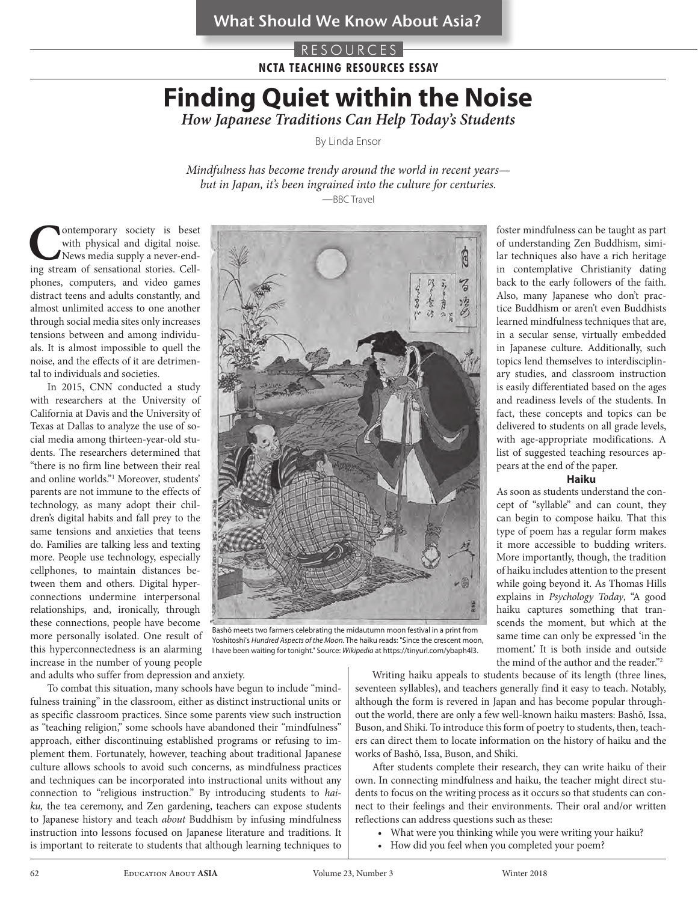### RESOURCES **NCTA TEACHING RESOURCES ESSAY**

# **Finding Quiet within the Noise**

*How Japanese Traditions Can Help Today's Students*

By Linda Ensor

*Mindfulness has become trendy around the world in recent years but in Japan, it's been ingrained into the culture for centuries. —*BBC Travel

**Contemporary society is beset with physical and digital noise.** News media supply a never-end-ing stream of sensational stories. Cellwith physical and digital noise. News media supply a never-endphones, computers, and video games distract teens and adults constantly, and almost unlimited access to one another through social media sites only increases tensions between and among individuals. It is almost impossible to quell the noise, and the effects of it are detrimental to individuals and societies.

In 2015, CNN conducted a study with researchers at the University of California at Davis and the University of Texas at Dallas to analyze the use of social media among thirteen-year-old students. The researchers determined that "there is no firm line between their real and online worlds."1 Moreover, students' parents are not immune to the effects of technology, as many adopt their children's digital habits and fall prey to the same tensions and anxieties that teens do. Families are talking less and texting more. People use technology, especially cellphones, to maintain distances between them and others. Digital hyperconnections undermine interpersonal relationships, and, ironically, through these connections, people have become more personally isolated. One result of this hyperconnectedness is an alarming increase in the number of young people



Bashō meets two farmers celebrating the midautumn moon festival in a print from Yoshitoshi's *Hundred Aspects of the Moon*. The haiku reads: "Since the crescent moon, I have been waiting for tonight." Source: *Wikipedia* at https://tinyurl.com/ybaph4l3.

and adults who suffer from depression and anxiety.

To combat this situation, many schools have begun to include "mindfulness training" in the classroom, either as distinct instructional units or as specific classroom practices. Since some parents view such instruction as "teaching religion," some schools have abandoned their "mindfulness" approach, either discontinuing established programs or refusing to implement them. Fortunately, however, teaching about traditional Japanese culture allows schools to avoid such concerns, as mindfulness practices and techniques can be incorporated into instructional units without any connection to "religious instruction." By introducing students to *haiku,* the tea ceremony, and Zen gardening, teachers can expose students to Japanese history and teach *about* Buddhism by infusing mindfulness instruction into lessons focused on Japanese literature and traditions. It is important to reiterate to students that although learning techniques to

in contemplative Christianity dating back to the early followers of the faith. Also, many Japanese who don't practice Buddhism or aren't even Buddhists learned mindfulness techniques that are, in a secular sense, virtually embedded in Japanese culture. Additionally, such topics lend themselves to interdisciplinary studies, and classroom instruction is easily differentiated based on the ages and readiness levels of the students. In fact, these concepts and topics can be delivered to students on all grade levels, with age-appropriate modifications. A list of suggested teaching resources appears at the end of the paper. **Haiku**

foster mindfulness can be taught as part of understanding Zen Buddhism, similar techniques also have a rich heritage

As soon as students understand the concept of "syllable" and can count, they can begin to compose haiku. That this type of poem has a regular form makes it more accessible to budding writers. More importantly, though, the tradition of haiku includes attention to the present while going beyond it. As Thomas Hills explains in *Psychology Today*, "A good haiku captures something that transcends the moment, but which at the same time can only be expressed 'in the moment.' It is both inside and outside the mind of the author and the reader."2

Writing haiku appeals to students because of its length (three lines, seventeen syllables), and teachers generally find it easy to teach. Notably, although the form is revered in Japan and has become popular throughout the world, there are only a few well-known haiku masters: Bashō, Issa, Buson, and Shiki. To introduce this form of poetry to students, then, teachers can direct them to locate information on the history of haiku and the works of Bashō, Issa, Buson, and Shiki.

After students complete their research, they can write haiku of their own. In connecting mindfulness and haiku, the teacher might direct students to focus on the writing process as it occurs so that students can connect to their feelings and their environments. Their oral and/or written reflections can address questions such as these:

- What were you thinking while you were writing your haiku?
- How did you feel when you completed your poem?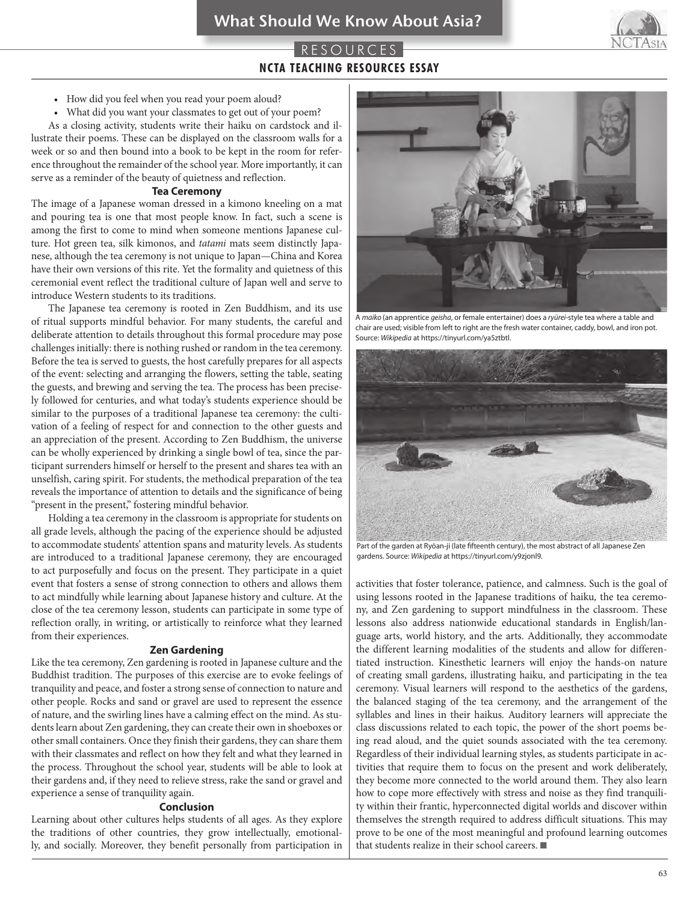### RESOURCES **NCTA TEACHING RESOURCES ESSAY**

- How did you feel when you read your poem aloud?
- What did you want your classmates to get out of your poem?

As a closing activity, students write their haiku on cardstock and illustrate their poems. These can be displayed on the classroom walls for a week or so and then bound into a book to be kept in the room for reference throughout the remainder of the school year. More importantly, it can serve as a reminder of the beauty of quietness and reflection.

### **Tea Ceremony**

The image of a Japanese woman dressed in a kimono kneeling on a mat and pouring tea is one that most people know. In fact, such a scene is among the first to come to mind when someone mentions Japanese culture. Hot green tea, silk kimonos, and *tatami* mats seem distinctly Japanese, although the tea ceremony is not unique to Japan—China and Korea have their own versions of this rite. Yet the formality and quietness of this ceremonial event reflect the traditional culture of Japan well and serve to introduce Western students to its traditions.

The Japanese tea ceremony is rooted in Zen Buddhism, and its use of ritual supports mindful behavior. For many students, the careful and deliberate attention to details throughout this formal procedure may pose challenges initially: there is nothing rushed or random in the tea ceremony. Before the tea is served to guests, the host carefully prepares for all aspects of the event: selecting and arranging the flowers, setting the table, seating the guests, and brewing and serving the tea. The process has been precisely followed for centuries, and what today's students experience should be similar to the purposes of a traditional Japanese tea ceremony: the cultivation of a feeling of respect for and connection to the other guests and an appreciation of the present. According to Zen Buddhism, the universe can be wholly experienced by drinking a single bowl of tea, since the participant surrenders himself or herself to the present and shares tea with an unselfish, caring spirit. For students, the methodical preparation of the tea reveals the importance of attention to details and the significance of being "present in the present," fostering mindful behavior.

Holding a tea ceremony in the classroom is appropriate for students on all grade levels, although the pacing of the experience should be adjusted to accommodate students' attention spans and maturity levels. As students are introduced to a traditional Japanese ceremony, they are encouraged to act purposefully and focus on the present. They participate in a quiet event that fosters a sense of strong connection to others and allows them to act mindfully while learning about Japanese history and culture. At the close of the tea ceremony lesson, students can participate in some type of reflection orally, in writing, or artistically to reinforce what they learned from their experiences.

#### **Zen Gardening**

Like the tea ceremony, Zen gardening is rooted in Japanese culture and the Buddhist tradition. The purposes of this exercise are to evoke feelings of tranquility and peace, and foster a strong sense of connection to nature and other people. Rocks and sand or gravel are used to represent the essence of nature, and the swirling lines have a calming effect on the mind. As students learn about Zen gardening, they can create their own in shoeboxes or other small containers. Once they finish their gardens, they can share them with their classmates and reflect on how they felt and what they learned in the process. Throughout the school year, students will be able to look at their gardens and, if they need to relieve stress, rake the sand or gravel and experience a sense of tranquility again.

### **Conclusion**

Learning about other cultures helps students of all ages. As they explore the traditions of other countries, they grow intellectually, emotionally, and socially. Moreover, they benefit personally from participation in



chair are used; visible from left to right are the fresh water container, caddy, bowl, and iron pot. Source: *Wikipedia* at https://tinyurl.com/ya5ztbtl.



Part of the garden at Ryōan-ji (late fifteenth century), the most abstract of all Japanese Zen gardens. Source: *Wikipedia* at https://tinyurl.com/y9zjonl9.

activities that foster tolerance, patience, and calmness. Such is the goal of using lessons rooted in the Japanese traditions of haiku*,* the tea ceremony, and Zen gardening to support mindfulness in the classroom. These lessons also address nationwide educational standards in English/language arts, world history, and the arts. Additionally, they accommodate the different learning modalities of the students and allow for differentiated instruction. Kinesthetic learners will enjoy the hands-on nature of creating small gardens, illustrating haiku, and participating in the tea ceremony. Visual learners will respond to the aesthetics of the gardens, the balanced staging of the tea ceremony, and the arrangement of the syllables and lines in their haikus*.* Auditory learners will appreciate the class discussions related to each topic, the power of the short poems being read aloud, and the quiet sounds associated with the tea ceremony. Regardless of their individual learning styles, as students participate in activities that require them to focus on the present and work deliberately, they become more connected to the world around them. They also learn how to cope more effectively with stress and noise as they find tranquility within their frantic, hyperconnected digital worlds and discover within themselves the strength required to address difficult situations. This may prove to be one of the most meaningful and profound learning outcomes that students realize in their school careers. ■